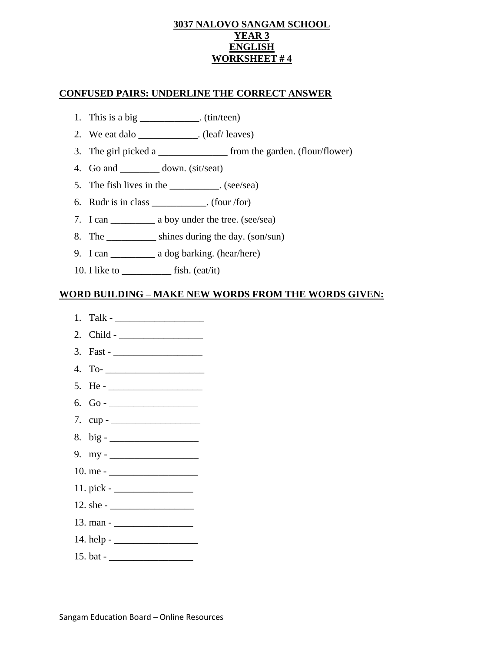#### **3037 NALOVO SANGAM SCHOOL YEAR 3 ENGLISH WORKSHEET # 4**

#### **CONFUSED PAIRS: UNDERLINE THE CORRECT ANSWER**

- 1. This is a big  $\frac{\ }{\ }$  (tin/teen)
- 2. We eat dalo \_\_\_\_\_\_\_\_\_\_\_\_\_. (leaf/ leaves)
- 3. The girl picked a <u>second</u> from the garden. (flour/flower)
- 4. Go and down. (sit/seat)
- 5. The fish lives in the \_\_\_\_\_\_\_\_\_\_. (see/sea)
- 6. Rudr is in class \_\_\_\_\_\_\_\_\_\_\_. (four /for)
- 7. I can \_\_\_\_\_\_\_\_\_\_\_\_\_\_\_\_ a boy under the tree. (see/sea)
- 8. The \_\_\_\_\_\_\_\_\_\_ shines during the day. (son/sun)
- 9. I can \_\_\_\_\_\_\_\_\_ a dog barking. (hear/here)
- 10. I like to \_\_\_\_\_\_\_\_\_\_\_\_\_\_ fish. (eat/it)

### **WORD BUILDING – MAKE NEW WORDS FROM THE WORDS GIVEN:**

- $1.$  Talk -
- 2. Child \_\_\_\_\_\_\_\_\_\_\_\_\_\_\_\_\_
- 3. Fast \_\_\_\_\_\_\_\_\_\_\_\_\_\_\_\_\_\_
- 4. To- \_\_\_\_\_\_\_\_\_\_\_\_\_\_\_\_\_\_\_\_
- $5.$  He -
- 6. Go \_\_\_\_\_\_\_\_\_\_\_\_\_\_\_\_\_\_
- 7. cup \_\_\_\_\_\_\_\_\_\_\_\_\_\_\_\_\_\_
- 8. big \_\_\_\_\_\_\_\_\_\_\_\_\_\_\_\_\_\_
- 9. my \_\_\_\_\_\_\_\_\_\_\_\_\_\_\_\_\_\_
- 10. me \_\_\_\_\_\_\_\_\_\_\_\_\_\_\_\_\_\_
- 11. pick \_\_\_\_\_\_\_\_\_\_\_\_\_\_\_\_
- 12. she \_\_\_\_\_\_\_\_\_\_\_\_\_\_\_\_\_
- 13. man \_\_\_\_\_\_\_\_\_\_\_\_\_\_\_\_
- $14.$  help -
- 15. bat \_\_\_\_\_\_\_\_\_\_\_\_\_\_\_\_\_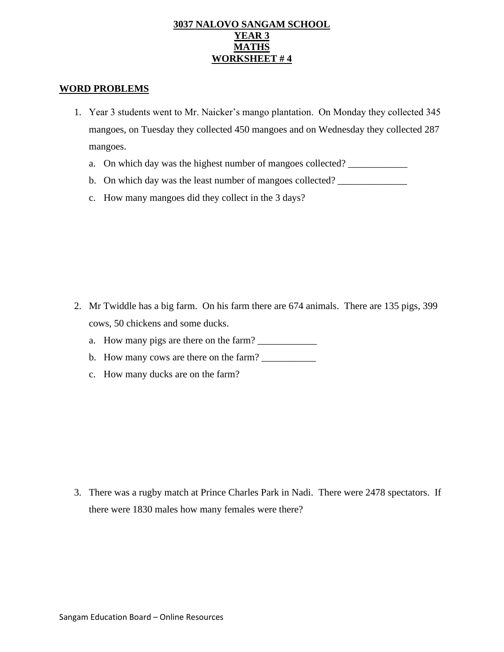#### **3037 NALOVO SANGAM SCHOOL YEAR 3 MATHS WORKSHEET # 4**

#### **WORD PROBLEMS**

- 1. Year 3 students went to Mr. Naicker's mango plantation. On Monday they collected 345 mangoes, on Tuesday they collected 450 mangoes and on Wednesday they collected 287 mangoes.
	- a. On which day was the highest number of mangoes collected?
	- b. On which day was the least number of mangoes collected? \_\_\_\_\_\_\_\_\_\_\_\_\_\_\_\_\_\_\_\_\_
	- c. How many mangoes did they collect in the 3 days?

- 2. Mr Twiddle has a big farm. On his farm there are 674 animals. There are 135 pigs, 399 cows, 50 chickens and some ducks.
	- a. How many pigs are there on the farm?
	- b. How many cows are there on the farm?
	- c. How many ducks are on the farm?

3. There was a rugby match at Prince Charles Park in Nadi. There were 2478 spectators. If there were 1830 males how many females were there?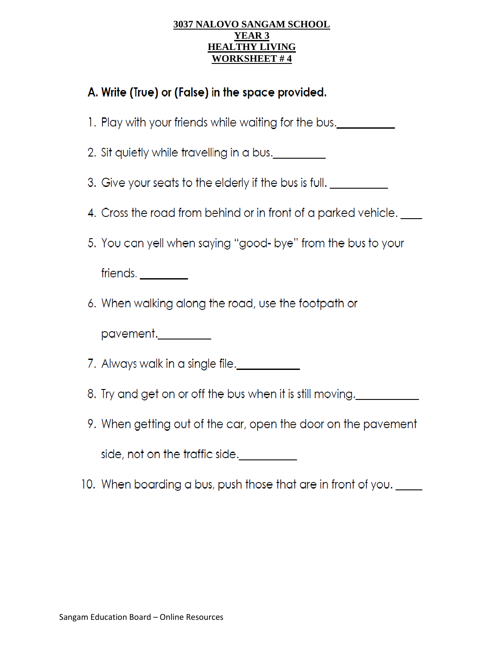### **3037 NALOVO SANGAM SCHOOL YEAR 3 HEALTHY LIVING WORKSHEET #4**

# A. Write (True) or (False) in the space provided.

- 1. Play with your friends while waiting for the bus.
- 2. Sit quietly while travelling in a bus.
- 3. Give your seats to the elderly if the bus is full.
- 4. Cross the road from behind or in front of a parked vehicle.
- 5. You can yell when saying "good- bye" from the bus to your

friends.

6. When walking along the road, use the footpath or

pavement.\_\_\_\_\_\_\_\_

7. Always walk in a single file.

- 8. Try and get on or off the bus when it is still moving.
- 9. When getting out of the car, open the door on the pavement

side, not on the traffic side.

10. When boarding a bus, push those that are in front of you. \_\_\_\_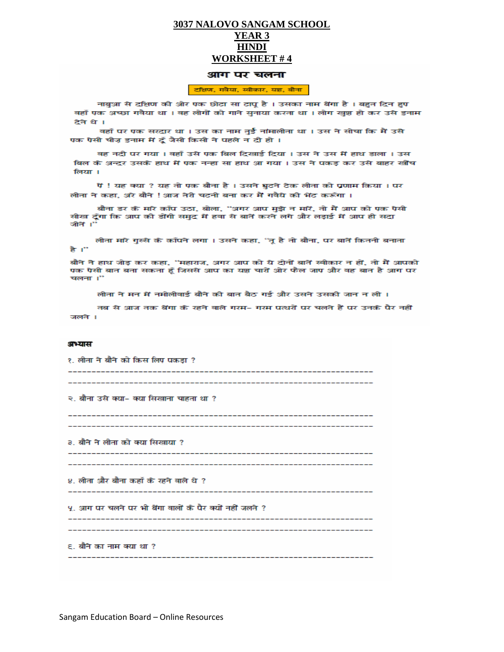#### 3037 NALOVO SANGAM SCHOOL YEAR<sub>3</sub> **HINDI WORKSHEET #4**

#### आग पर चलना

#### टक्षिण, गवैया, स्वीकार, यश, बौना

नाबुआ से दक्षिण की ओर एक छोटा सा टापू है । उसका नाम बेंगा है । बहुत दिन हुए वहाँ एक अच्छा गवैया था । वह लोगों को गाने सुनाया करता था । लोग खुश हो कर उसे इनाम टेने थे ।

वहाँ पर एक सरदार था । उस का नाम तुई नांमालीता था । उस ने सोचा कि मैं उसे एक ऐसी चीज़ इनाम में दूँ जैसी किसी ने पहले न दी हो ।

वह नदी पर गया । वहाँ उसे एक बिल दिखाई दिया । उस ने उस में हाथ डाला । उस बिल के अन्दर उसके हाथ में एक नन्हा सा हाथ आ गया । उस ने पकड़ कर उसे बाहर खींच लिया ।

पें ! यह क्या ? यह तो एक बौना है । उसने घुटने टेक लीता को प्रणाम किया । पर लीता ने कहा, अरे बौने ! आज तेरी चटनी बना कर मैं गवैये की भेंट करूँगा ।

बौना डर के मारे काँप उठा, बोला, "अगर आप मुझे न मारें, तो मैं आप को एक ऐसी सीख दूँगा कि आप की डोंगी समुद्र में हवा से बातें करने लगे और लड़ाई में आप ही सद्रा जीते ।"

लीता मारे गुस्से के काँपने लगा । उसने कहा, ''तू है तो बौना, पर बातें कितनी बनाता है ।"

बौने ने हाथ जोड़ कर कहा, ''महाराज, अगर आप को ये दोनों बातें स्वीकार न हों, तो मैं आपको एक ऐसी बात बना सकता हूँ जिससे आप का यश चारों ओर फैल जाए और वह बात है आग पर चलना ।"

लीता ने मन में नमोलीवाई बौने की बात बैठ गई और उसने उसकी जान न ली ।

नब से आज तक बेंगा के रहने वाले गरम– गरम पत्थरों पर चलते हैं पर उनके पैर नहीं जलते ।

#### अभ्यास

| १. लीता ने बौने को किस लिए पकड़ा ?                       |
|----------------------------------------------------------|
| २. बौना उसे क्या- क्या सिखाना चाहता था ?                 |
| ३. बौने ने लीता को क्या सिखाया ?                         |
| ४. लीता और बौना कहाँ के रहने वाले थे ?                   |
| ५. आग पर चलने पर भी बेंगा वालों के पैर क्यों नहीं जलते ? |
| ६. बौने का नाम क्या था ?                                 |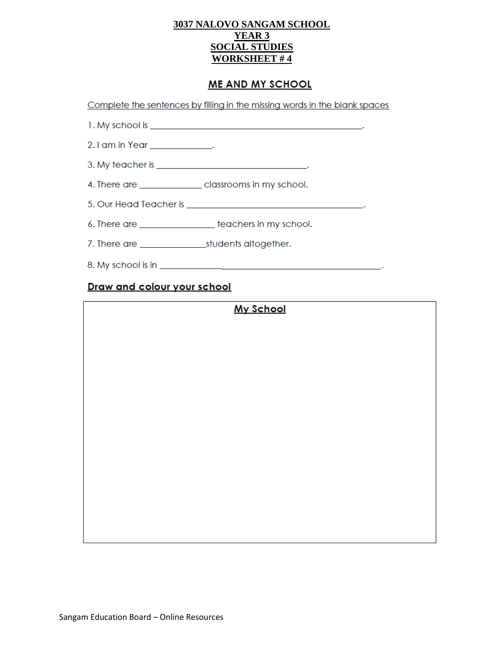### 3037 NALOVO SANGAM SCHOOL **YEAR 3 SOCIAL STUDIES WORKSHEET #4**

# **ME AND MY SCHOOL**

Complete the sentences by filling in the missing words in the blank spaces

- 
- 2.1 am in Year \_\_\_\_\_\_\_\_\_\_\_\_\_\_.
- 
- 4. There are \_\_\_\_\_\_\_\_\_\_\_\_\_\_\_\_\_ classrooms in my school.
- 
- 6. There are \_\_\_\_\_\_\_\_\_\_\_\_\_\_\_\_\_\_\_\_ teachers in my school.
- 
- 

# Draw and colour your school

# **My School**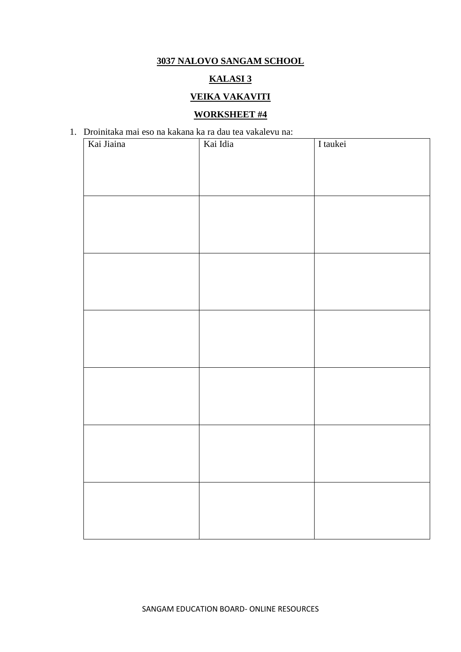# **3037 NALOVO SANGAM SCHOOL**

# **KALASI 3**

# **VEIKA VAKAVITI**

# **WORKSHEET #4**

# 1. Droinitaka mai eso na kakana ka ra dau tea vakalevu na: